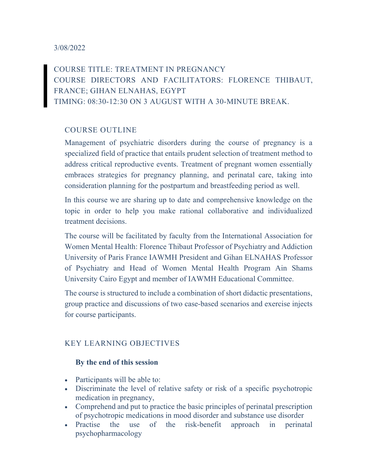### 3/08/2022

COURSE TITLE: TREATMENT IN PREGNANCY COURSE DIRECTORS AND FACILITATORS: FLORENCE THIBAUT, FRANCE; GIHAN ELNAHAS, EGYPT TIMING: 08:30-12:30 ON 3 AUGUST WITH A 30-MINUTE BREAK.

## COURSE OUTLINE

Management of psychiatric disorders during the course of pregnancy is a specialized field of practice that entails prudent selection of treatment method to address critical reproductive events. Treatment of pregnant women essentially embraces strategies for pregnancy planning, and perinatal care, taking into consideration planning for the postpartum and breastfeeding period as well.

In this course we are sharing up to date and comprehensive knowledge on the topic in order to help you make rational collaborative and individualized treatment decisions.

The course will be facilitated by faculty from the International Association for Women Mental Health: Florence Thibaut Professor of Psychiatry and Addiction University of Paris France IAWMH President and Gihan ELNAHAS Professor of Psychiatry and Head of Women Mental Health Program Ain Shams University Cairo Egypt and member of IAWMH Educational Committee.

The course is structured to include a combination of short didactic presentations, group practice and discussions of two case-based scenarios and exercise injects for course participants.

### KEY LEARNING OBJECTIVES

#### By the end of this session

- Participants will be able to:
- Discriminate the level of relative safety or risk of a specific psychotropic medication in pregnancy,
- Comprehend and put to practice the basic principles of perinatal prescription of psychotropic medications in mood disorder and substance use disorder
- Practise the use of the risk-benefit approach in perinatal psychopharmacology